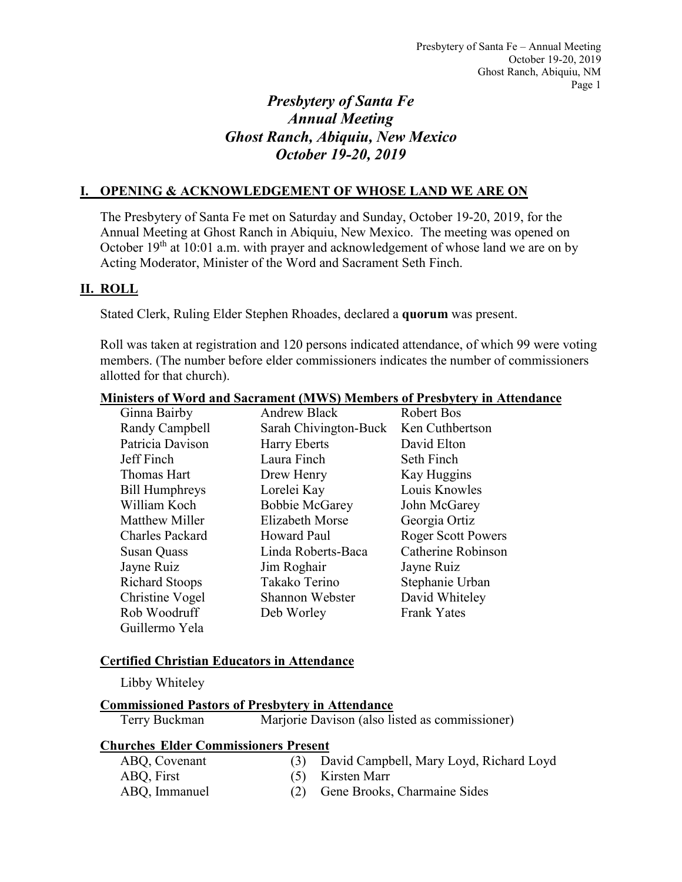# *Presbytery of Santa Fe Annual Meeting Ghost Ranch, Abiquiu, New Mexico October 19-20, 2019*

## **I. OPENING & ACKNOWLEDGEMENT OF WHOSE LAND WE ARE ON**

The Presbytery of Santa Fe met on Saturday and Sunday, October 19-20, 2019, for the Annual Meeting at Ghost Ranch in Abiquiu, New Mexico. The meeting was opened on October 19<sup>th</sup> at 10:01 a.m. with prayer and acknowledgement of whose land we are on by Acting Moderator, Minister of the Word and Sacrament Seth Finch.

## **II. ROLL**

Stated Clerk, Ruling Elder Stephen Rhoades, declared a **quorum** was present.

Roll was taken at registration and 120 persons indicated attendance, of which 99 were voting members. (The number before elder commissioners indicates the number of commissioners allotted for that church).

|                        |                        | <b>Ministers of Word and Sacrament (MWS) Members of Presbytery in Attendance</b> |
|------------------------|------------------------|----------------------------------------------------------------------------------|
| Ginna Bairby           | Andrew Black           | Robert Bos                                                                       |
| Randy Campbell         | Sarah Chivington-Buck  | Ken Cuthbertson                                                                  |
| Patricia Davison       | <b>Harry Eberts</b>    | David Elton                                                                      |
| Jeff Finch             | Laura Finch            | Seth Finch                                                                       |
| Thomas Hart            | Drew Henry             | Kay Huggins                                                                      |
| <b>Bill Humphreys</b>  | Lorelei Kay            | Louis Knowles                                                                    |
| William Koch           | <b>Bobbie McGarey</b>  | John McGarey                                                                     |
| <b>Matthew Miller</b>  | <b>Elizabeth Morse</b> | Georgia Ortiz                                                                    |
| <b>Charles Packard</b> | Howard Paul            | <b>Roger Scott Powers</b>                                                        |
| <b>Susan Quass</b>     | Linda Roberts-Baca     | <b>Catherine Robinson</b>                                                        |
| Jayne Ruiz             | Jim Roghair            | Jayne Ruiz                                                                       |
| <b>Richard Stoops</b>  | Takako Terino          | Stephanie Urban                                                                  |
| Christine Vogel        | Shannon Webster        | David Whiteley                                                                   |
| Rob Woodruff           | Deb Worley             | <b>Frank Yates</b>                                                               |
| Guillermo Yela         |                        |                                                                                  |

## **Certified Christian Educators in Attendance**

Libby Whiteley

## **Commissioned Pastors of Presbytery in Attendance**

Terry Buckman Marjorie Davison (also listed as commissioner)

## **Churches Elder Commissioners Present**

| ABQ, Covenant | (3) David Campbell, Mary Loyd, Richard Loyd |
|---------------|---------------------------------------------|
| ABQ, First    | (5) Kirsten Marr                            |
| ABO, Immanuel | (2) Gene Brooks, Charmaine Sides            |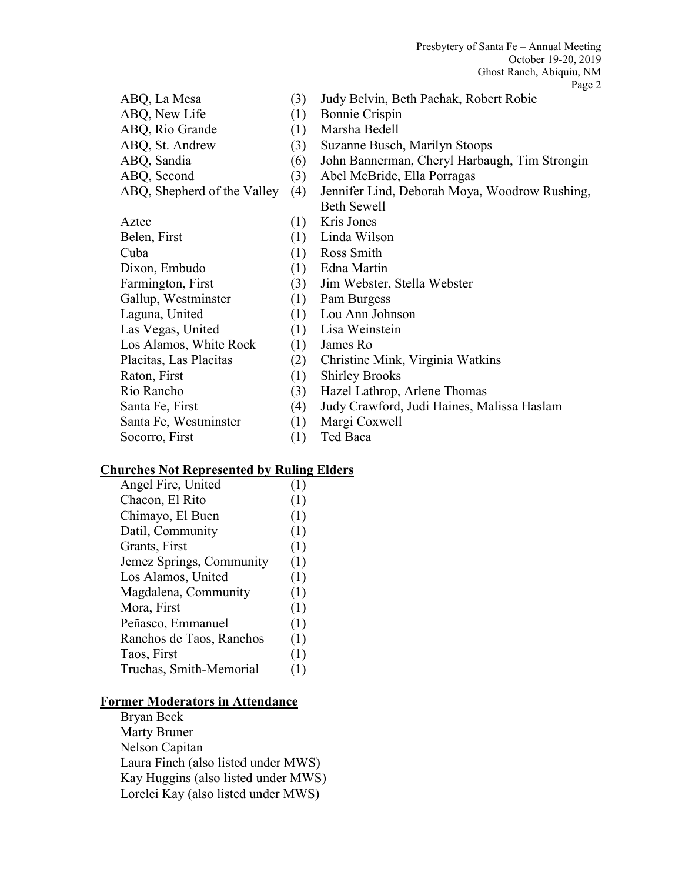|                             |     | Page                                          |
|-----------------------------|-----|-----------------------------------------------|
| ABQ, La Mesa                | (3) | Judy Belvin, Beth Pachak, Robert Robie        |
| ABQ, New Life               | (1) | <b>Bonnie Crispin</b>                         |
| ABQ, Rio Grande             | (1) | Marsha Bedell                                 |
| ABQ, St. Andrew             | (3) | Suzanne Busch, Marilyn Stoops                 |
| ABQ, Sandia                 | (6) | John Bannerman, Cheryl Harbaugh, Tim Strongin |
| ABQ, Second                 | (3) | Abel McBride, Ella Porragas                   |
| ABQ, Shepherd of the Valley | (4) | Jennifer Lind, Deborah Moya, Woodrow Rushing, |
|                             |     | <b>Beth Sewell</b>                            |
| Aztec                       | (1) | Kris Jones                                    |
| Belen, First                | (1) | Linda Wilson                                  |
| Cuba                        | (1) | Ross Smith                                    |
| Dixon, Embudo               | (1) | Edna Martin                                   |
| Farmington, First           | (3) | Jim Webster, Stella Webster                   |
| Gallup, Westminster         | (1) | Pam Burgess                                   |
| Laguna, United              | (1) | Lou Ann Johnson                               |
| Las Vegas, United           | (1) | Lisa Weinstein                                |
| Los Alamos, White Rock      | (1) | James Ro                                      |
| Placitas, Las Placitas      | (2) | Christine Mink, Virginia Watkins              |
| Raton, First                | (1) | <b>Shirley Brooks</b>                         |
| Rio Rancho                  | (3) | Hazel Lathrop, Arlene Thomas                  |
| Santa Fe, First             | (4) | Judy Crawford, Judi Haines, Malissa Haslam    |
| Santa Fe, Westminster       | (1) | Margi Coxwell                                 |
| Socorro, First              | (1) | Ted Baca                                      |
|                             |     |                                               |

# **Churches Not Represented by Ruling Elders**

| Angel Fire, United       | (1) |
|--------------------------|-----|
| Chacon, El Rito          | (1) |
| Chimayo, El Buen         | (1) |
| Datil, Community         | (1) |
| Grants, First            | (1) |
| Jemez Springs, Community | (1) |
| Los Alamos, United       | (1) |
| Magdalena, Community     | (1) |
| Mora, First              | (1) |
| Peñasco, Emmanuel        | (1) |
| Ranchos de Taos, Ranchos | (1) |
| Taos, First              | (1) |
| Truchas, Smith-Memorial  | (1) |

# **Former Moderators in Attendance**

Bryan Beck Marty Bruner Nelson Capitan Laura Finch (also listed under MWS) Kay Huggins (also listed under MWS) Lorelei Kay (also listed under MWS)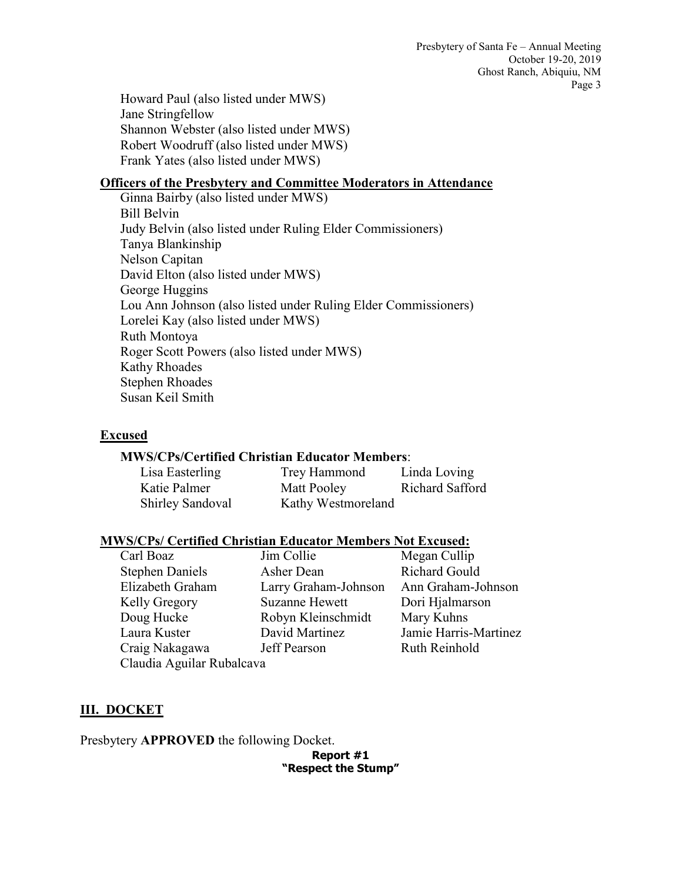Howard Paul (also listed under MWS) Jane Stringfellow Shannon Webster (also listed under MWS) Robert Woodruff (also listed under MWS) Frank Yates (also listed under MWS)

## **Officers of the Presbytery and Committee Moderators in Attendance**

Ginna Bairby (also listed under MWS) Bill Belvin Judy Belvin (also listed under Ruling Elder Commissioners) Tanya Blankinship Nelson Capitan David Elton (also listed under MWS) George Huggins Lou Ann Johnson (also listed under Ruling Elder Commissioners) Lorelei Kay (also listed under MWS) Ruth Montoya Roger Scott Powers (also listed under MWS) Kathy Rhoades Stephen Rhoades Susan Keil Smith

## **Excused**

## **MWS/CPs/Certified Christian Educator Members**:

| Lisa Easterling         | Trey Hammond       | Linda Loving    |
|-------------------------|--------------------|-----------------|
| Katie Palmer            | Matt Pooley        | Richard Safford |
| <b>Shirley Sandoval</b> | Kathy Westmoreland |                 |

## **MWS/CPs/ Certified Christian Educator Members Not Excused:**

| Carl Boaz                 | Jim Collie            | Megan Cullip          |  |  |  |
|---------------------------|-----------------------|-----------------------|--|--|--|
| <b>Stephen Daniels</b>    | Asher Dean            | Richard Gould         |  |  |  |
| Elizabeth Graham          | Larry Graham-Johnson  | Ann Graham-Johnson    |  |  |  |
| Kelly Gregory             | <b>Suzanne Hewett</b> | Dori Hjalmarson       |  |  |  |
| Doug Hucke                | Robyn Kleinschmidt    | Mary Kuhns            |  |  |  |
| Laura Kuster              | David Martinez        | Jamie Harris-Martinez |  |  |  |
| Craig Nakagawa            | <b>Jeff Pearson</b>   | Ruth Reinhold         |  |  |  |
| Claudia Aguilar Rubalcava |                       |                       |  |  |  |

## **III. DOCKET**

Presbytery **APPROVED** the following Docket.

**Report #1 "Respect the Stump"**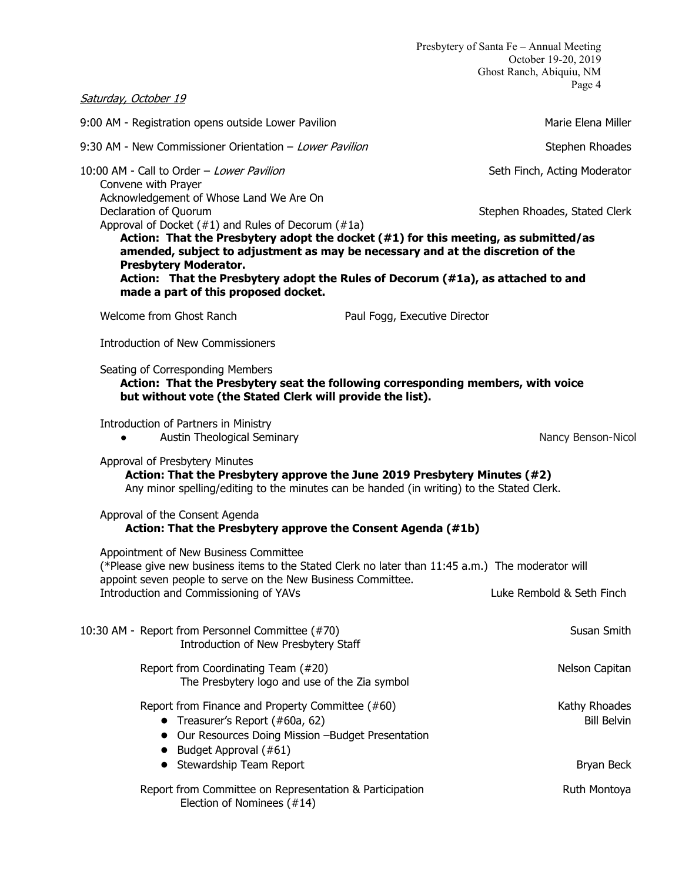Saturday, October 19 9:00 AM - Registration opens outside Lower Pavilion Marie Elena Miller Marie Elena Miller 9:30 AM - New Commissioner Orientation – Lower Pavilion Stephen Rhoades Stephen Rhoades 10:00 AM - Call to Order – Lower Pavilion Seth Finch, Acting Moderator Convene with Prayer Acknowledgement of Whose Land We Are On Declaration of Quorum **Stephen Rhoades, Stated Clerk** Stephen Rhoades, Stated Clerk Approval of Docket (#1) and Rules of Decorum (#1a) **Action: That the Presbytery adopt the docket (#1) for this meeting, as submitted/as amended, subject to adjustment as may be necessary and at the discretion of the Presbytery Moderator. Action: That the Presbytery adopt the Rules of Decorum (#1a), as attached to and made a part of this proposed docket.** Welcome from Ghost Ranch **Paul Fogg, Executive Director** Introduction of New Commissioners Seating of Corresponding Members **Action: That the Presbytery seat the following corresponding members, with voice but without vote (the Stated Clerk will provide the list).**  Introduction of Partners in Ministry ● Austin Theological Seminary Nancy Benson-Nicol Approval of Presbytery Minutes **Action: That the Presbytery approve the June 2019 Presbytery Minutes (#2)** Any minor spelling/editing to the minutes can be handed (in writing) to the Stated Clerk. Approval of the Consent Agenda **Action: That the Presbytery approve the Consent Agenda (#1b)** Appointment of New Business Committee (\*Please give new business items to the Stated Clerk no later than 11:45 a.m.) The moderator will appoint seven people to serve on the New Business Committee. Introduction and Commissioning of YAVs Luke Rembold & Seth Finch 10:30 AM - Report from Personnel Committee (#70) Susan Smith Introduction of New Presbytery Staff Report from Coordinating Team (#20) Nelson Capitan Nelson Capitan The Presbytery logo and use of the Zia symbol Report from Finance and Property Committee (#60) Neport States Kathy Rhoades ● Treasurer's Report (#60a, 62) Bill Belvin ● Our Resources Doing Mission –Budget Presentation  $\bullet$  Budget Approval (#61) ● Stewardship Team Report Bryan Beck Report from Committee on Representation & Participation **Rundam Ruth Montoya** Election of Nominees (#14)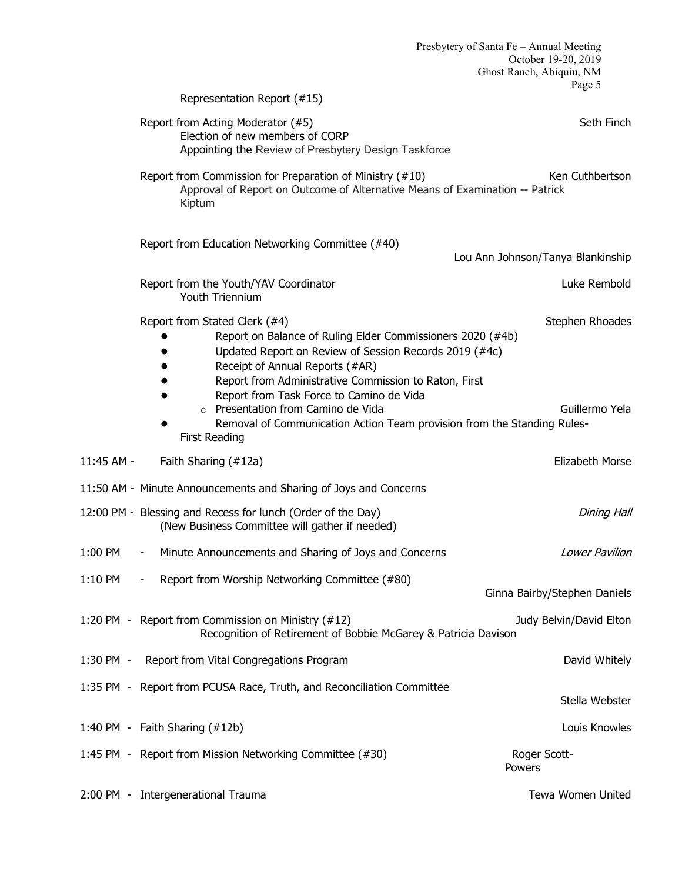|            |                                                                                                                                                                                                                                                                                               | Presbytery of Santa Fe - Annual Meeting<br>October 19-20, 2019<br>Ghost Ranch, Abiquiu, NM |
|------------|-----------------------------------------------------------------------------------------------------------------------------------------------------------------------------------------------------------------------------------------------------------------------------------------------|--------------------------------------------------------------------------------------------|
|            | Representation Report (#15)                                                                                                                                                                                                                                                                   | Page 5                                                                                     |
|            | Report from Acting Moderator (#5)<br>Election of new members of CORP<br>Appointing the Review of Presbytery Design Taskforce                                                                                                                                                                  | Seth Finch                                                                                 |
|            | Report from Commission for Preparation of Ministry (#10)<br>Approval of Report on Outcome of Alternative Means of Examination -- Patrick<br>Kiptum                                                                                                                                            | Ken Cuthbertson                                                                            |
|            | Report from Education Networking Committee (#40)                                                                                                                                                                                                                                              | Lou Ann Johnson/Tanya Blankinship                                                          |
|            | Report from the Youth/YAV Coordinator<br><b>Youth Triennium</b>                                                                                                                                                                                                                               | Luke Rembold                                                                               |
|            | Report from Stated Clerk (#4)<br>Report on Balance of Ruling Elder Commissioners 2020 (#4b)<br>Updated Report on Review of Session Records 2019 (#4c)<br>Receipt of Annual Reports (#AR)<br>Report from Administrative Commission to Raton, First<br>Report from Task Force to Camino de Vida | Stephen Rhoades                                                                            |
|            | Presentation from Camino de Vida<br>Removal of Communication Action Team provision from the Standing Rules-<br><b>First Reading</b>                                                                                                                                                           | Guillermo Yela                                                                             |
| 11:45 AM - | Faith Sharing (#12a)                                                                                                                                                                                                                                                                          | Elizabeth Morse                                                                            |
|            | 11:50 AM - Minute Announcements and Sharing of Joys and Concerns                                                                                                                                                                                                                              |                                                                                            |
|            | 12:00 PM - Blessing and Recess for lunch (Order of the Day)<br>(New Business Committee will gather if needed)                                                                                                                                                                                 | <b>Dining Hall</b>                                                                         |
| 1:00 PM    | Minute Announcements and Sharing of Joys and Concerns<br>$\overline{\phantom{a}}$                                                                                                                                                                                                             | Lower Pavilion                                                                             |
| $1:10$ PM  | Report from Worship Networking Committee (#80)<br>$\blacksquare$                                                                                                                                                                                                                              | Ginna Bairby/Stephen Daniels                                                               |
|            | 1:20 PM - Report from Commission on Ministry (#12)<br>Recognition of Retirement of Bobbie McGarey & Patricia Davison                                                                                                                                                                          | Judy Belvin/David Elton                                                                    |
|            | 1:30 PM - Report from Vital Congregations Program                                                                                                                                                                                                                                             | David Whitely                                                                              |
|            | 1:35 PM - Report from PCUSA Race, Truth, and Reconciliation Committee                                                                                                                                                                                                                         | Stella Webster                                                                             |
|            | 1:40 PM - Faith Sharing (#12b)                                                                                                                                                                                                                                                                | Louis Knowles                                                                              |
|            | 1:45 PM - Report from Mission Networking Committee (#30)                                                                                                                                                                                                                                      | Roger Scott-<br>Powers                                                                     |
|            | 2:00 PM - Intergenerational Trauma                                                                                                                                                                                                                                                            | Tewa Women United                                                                          |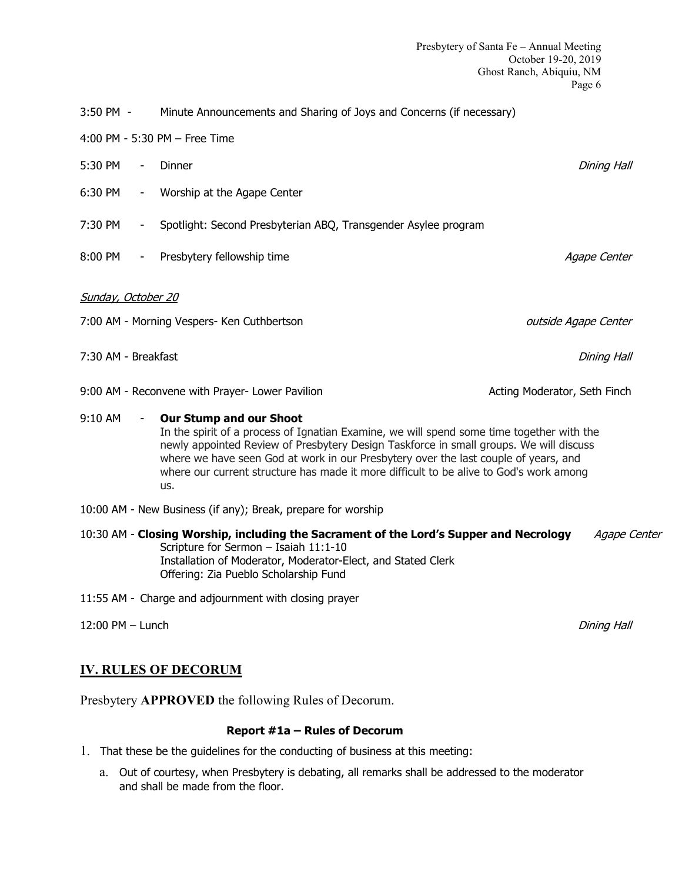- 4:00 PM 5:30 PM Free Time
- 5:30 PM Dinner **Dining Hall**
- 6:30 PM Worship at the Agape Center
- 7:30 PM Spotlight: Second Presbyterian ABQ, Transgender Asylee program
- 8:00 PM Presbytery fellowship time Agape Center Agape Center
- Sunday, October 20
- 7:00 AM Morning Vespers- Ken Cuthbertson and the state of the control outside Agape Center
- 7:30 AM Breakfast **Dining Hall**
- 9:00 AM Reconvene with Prayer- Lower Pavilion **Acting Moderator, Seth Finch** Acting Moderator, Seth Finch
- 9:10 AM **Our Stump and our Shoot** In the spirit of a process of Ignatian Examine, we will spend some time together with the newly appointed Review of Presbytery Design Taskforce in small groups. We will discuss where we have seen God at work in our Presbytery over the last couple of years, and where our current structure has made it more difficult to be alive to God's work among us.
- 10:00 AM New Business (if any); Break, prepare for worship
- 10:30 AM **Closing Worship, including the Sacrament of the Lord's Supper and Necrology** Agape Center Scripture for Sermon – Isaiah 11:1-10 Installation of Moderator, Moderator-Elect, and Stated Clerk Offering: Zia Pueblo Scholarship Fund
- 11:55 AM Charge and adjournment with closing prayer
- 12:00 PM Lunch **Dining Hall**

## **IV. RULES OF DECORUM**

Presbytery **APPROVED** the following Rules of Decorum.

#### **Report #1a – Rules of Decorum**

- 1. That these be the guidelines for the conducting of business at this meeting:
	- a. Out of courtesy, when Presbytery is debating, all remarks shall be addressed to the moderator and shall be made from the floor.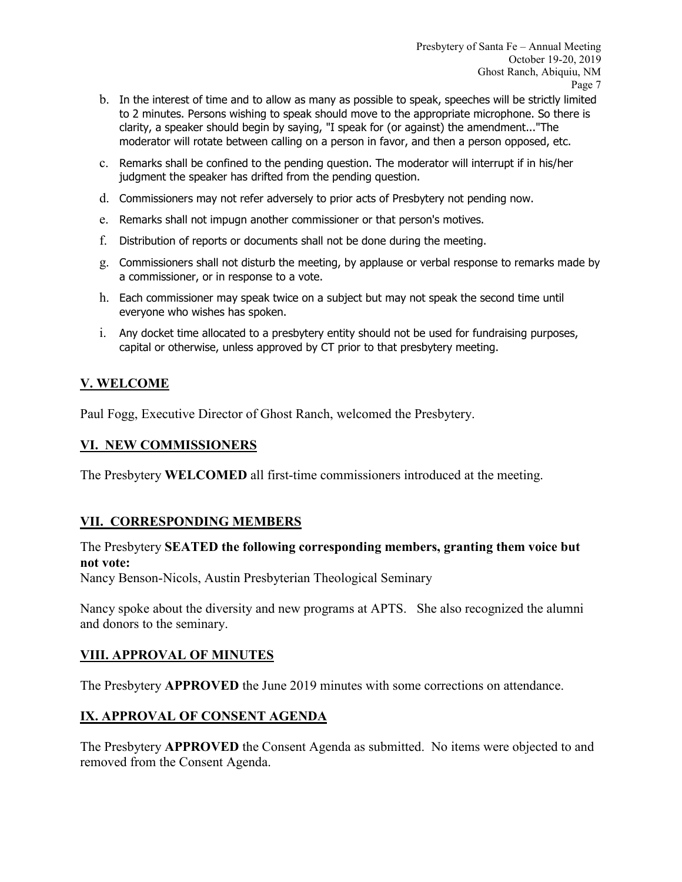- b. In the interest of time and to allow as many as possible to speak, speeches will be strictly limited to 2 minutes. Persons wishing to speak should move to the appropriate microphone. So there is clarity, a speaker should begin by saying, "I speak for (or against) the amendment..."The moderator will rotate between calling on a person in favor, and then a person opposed, etc.
- c. Remarks shall be confined to the pending question. The moderator will interrupt if in his/her judgment the speaker has drifted from the pending question.
- d. Commissioners may not refer adversely to prior acts of Presbytery not pending now.
- e. Remarks shall not impugn another commissioner or that person's motives.
- f. Distribution of reports or documents shall not be done during the meeting.
- g. Commissioners shall not disturb the meeting, by applause or verbal response to remarks made by a commissioner, or in response to a vote.
- h. Each commissioner may speak twice on a subject but may not speak the second time until everyone who wishes has spoken.
- i. Any docket time allocated to a presbytery entity should not be used for fundraising purposes, capital or otherwise, unless approved by CT prior to that presbytery meeting.

# **V. WELCOME**

Paul Fogg, Executive Director of Ghost Ranch, welcomed the Presbytery.

# **VI. NEW COMMISSIONERS**

The Presbytery **WELCOMED** all first-time commissioners introduced at the meeting.

# **VII. CORRESPONDING MEMBERS**

# The Presbytery **SEATED the following corresponding members, granting them voice but not vote:**

Nancy Benson-Nicols, Austin Presbyterian Theological Seminary

Nancy spoke about the diversity and new programs at APTS. She also recognized the alumni and donors to the seminary.

# **VIII. APPROVAL OF MINUTES**

The Presbytery **APPROVED** the June 2019 minutes with some corrections on attendance.

# **IX. APPROVAL OF CONSENT AGENDA**

The Presbytery **APPROVED** the Consent Agenda as submitted. No items were objected to and removed from the Consent Agenda.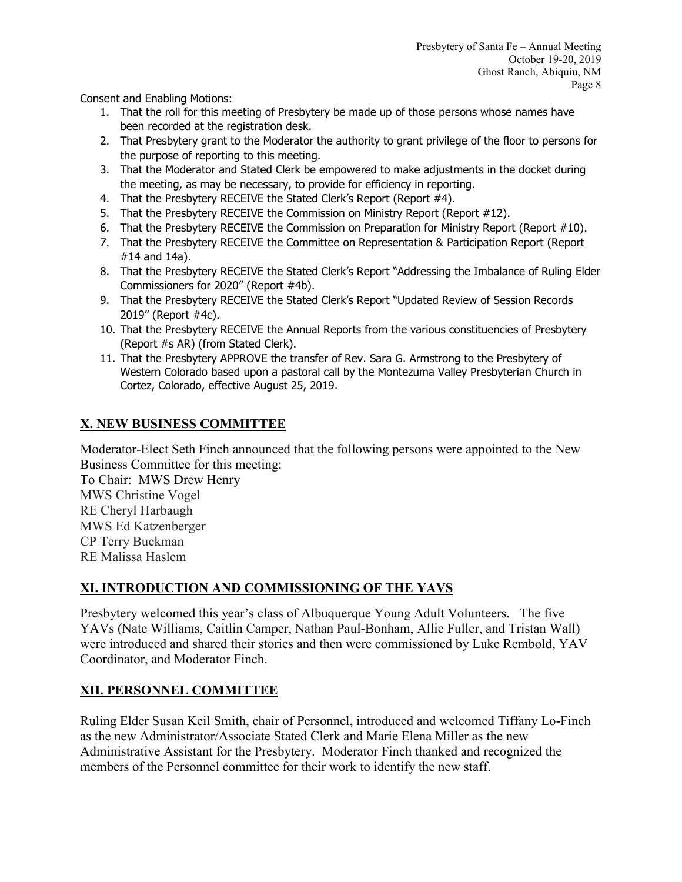Consent and Enabling Motions:

- 1. That the roll for this meeting of Presbytery be made up of those persons whose names have been recorded at the registration desk.
- 2. That Presbytery grant to the Moderator the authority to grant privilege of the floor to persons for the purpose of reporting to this meeting.
- 3. That the Moderator and Stated Clerk be empowered to make adjustments in the docket during the meeting, as may be necessary, to provide for efficiency in reporting.
- 4. That the Presbytery RECEIVE the Stated Clerk's Report (Report #4).
- 5. That the Presbytery RECEIVE the Commission on Ministry Report (Report #12).
- 6. That the Presbytery RECEIVE the Commission on Preparation for Ministry Report (Report #10).
- 7. That the Presbytery RECEIVE the Committee on Representation & Participation Report (Report #14 and 14a).
- 8. That the Presbytery RECEIVE the Stated Clerk's Report "Addressing the Imbalance of Ruling Elder Commissioners for 2020" (Report #4b).
- 9. That the Presbytery RECEIVE the Stated Clerk's Report "Updated Review of Session Records 2019" (Report #4c).
- 10. That the Presbytery RECEIVE the Annual Reports from the various constituencies of Presbytery (Report #s AR) (from Stated Clerk).
- 11. That the Presbytery APPROVE the transfer of Rev. Sara G. Armstrong to the Presbytery of Western Colorado based upon a pastoral call by the Montezuma Valley Presbyterian Church in Cortez, Colorado, effective August 25, 2019.

# **X. NEW BUSINESS COMMITTEE**

Moderator-Elect Seth Finch announced that the following persons were appointed to the New Business Committee for this meeting:

To Chair: MWS Drew Henry MWS Christine Vogel RE Cheryl Harbaugh MWS Ed Katzenberger CP Terry Buckman RE Malissa Haslem

# **XI. INTRODUCTION AND COMMISSIONING OF THE YAVS**

Presbytery welcomed this year's class of Albuquerque Young Adult Volunteers. The five YAVs (Nate Williams, Caitlin Camper, Nathan Paul-Bonham, Allie Fuller, and Tristan Wall) were introduced and shared their stories and then were commissioned by Luke Rembold, YAV Coordinator, and Moderator Finch.

# **XII. PERSONNEL COMMITTEE**

Ruling Elder Susan Keil Smith, chair of Personnel, introduced and welcomed Tiffany Lo-Finch as the new Administrator/Associate Stated Clerk and Marie Elena Miller as the new Administrative Assistant for the Presbytery. Moderator Finch thanked and recognized the members of the Personnel committee for their work to identify the new staff.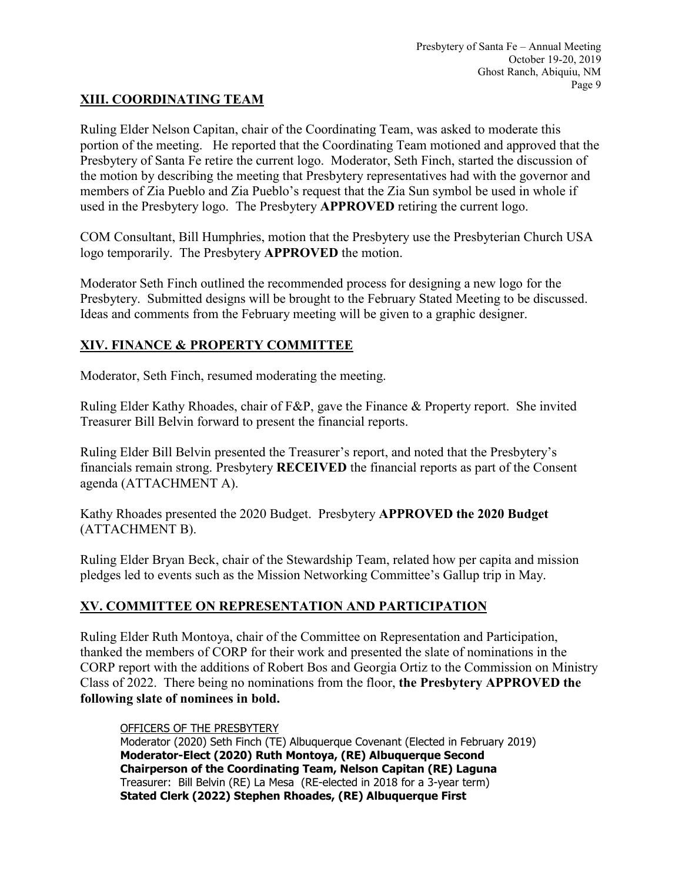# **XIII. COORDINATING TEAM**

Ruling Elder Nelson Capitan, chair of the Coordinating Team, was asked to moderate this portion of the meeting. He reported that the Coordinating Team motioned and approved that the Presbytery of Santa Fe retire the current logo. Moderator, Seth Finch, started the discussion of the motion by describing the meeting that Presbytery representatives had with the governor and members of Zia Pueblo and Zia Pueblo's request that the Zia Sun symbol be used in whole if used in the Presbytery logo. The Presbytery **APPROVED** retiring the current logo.

COM Consultant, Bill Humphries, motion that the Presbytery use the Presbyterian Church USA logo temporarily. The Presbytery **APPROVED** the motion.

Moderator Seth Finch outlined the recommended process for designing a new logo for the Presbytery. Submitted designs will be brought to the February Stated Meeting to be discussed. Ideas and comments from the February meeting will be given to a graphic designer.

# **XIV. FINANCE & PROPERTY COMMITTEE**

Moderator, Seth Finch, resumed moderating the meeting.

Ruling Elder Kathy Rhoades, chair of F&P, gave the Finance & Property report. She invited Treasurer Bill Belvin forward to present the financial reports.

Ruling Elder Bill Belvin presented the Treasurer's report, and noted that the Presbytery's financials remain strong. Presbytery **RECEIVED** the financial reports as part of the Consent agenda (ATTACHMENT A).

Kathy Rhoades presented the 2020 Budget. Presbytery **APPROVED the 2020 Budget** (ATTACHMENT B).

Ruling Elder Bryan Beck, chair of the Stewardship Team, related how per capita and mission pledges led to events such as the Mission Networking Committee's Gallup trip in May.

# **XV. COMMITTEE ON REPRESENTATION AND PARTICIPATION**

Ruling Elder Ruth Montoya, chair of the Committee on Representation and Participation, thanked the members of CORP for their work and presented the slate of nominations in the CORP report with the additions of Robert Bos and Georgia Ortiz to the Commission on Ministry Class of 2022. There being no nominations from the floor, **the Presbytery APPROVED the following slate of nominees in bold.**

## OFFICERS OF THE PRESBYTERY

Moderator (2020) Seth Finch (TE) Albuquerque Covenant (Elected in February 2019) **Moderator-Elect (2020) Ruth Montoya, (RE) Albuquerque Second Chairperson of the Coordinating Team, Nelson Capitan (RE) Laguna** Treasurer: Bill Belvin (RE) La Mesa (RE-elected in 2018 for a 3-year term) **Stated Clerk (2022) Stephen Rhoades, (RE) Albuquerque First**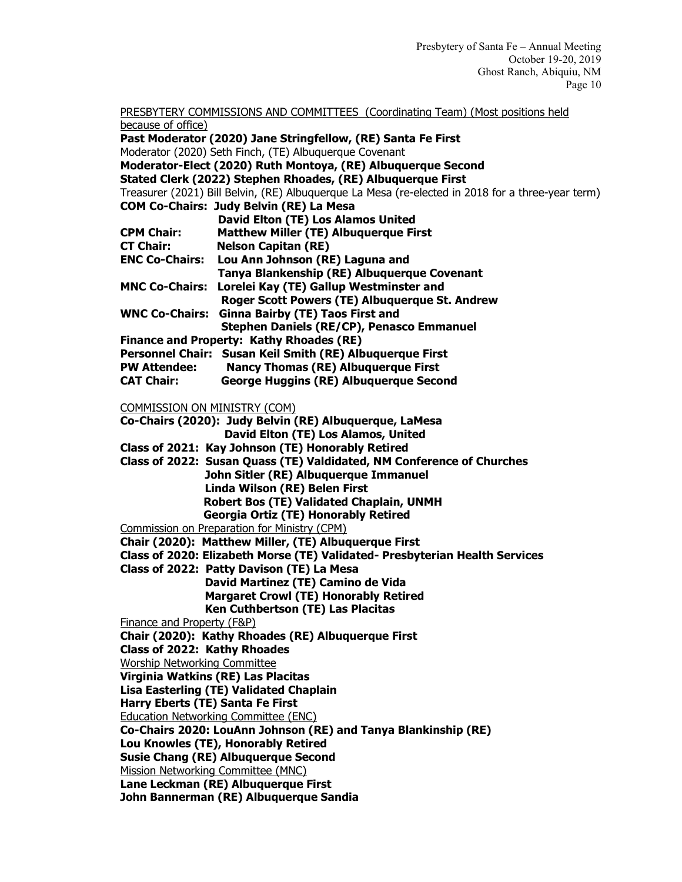PRESBYTERY COMMISSIONS AND COMMITTEES (Coordinating Team) (Most positions held because of office)

**Past Moderator (2020) Jane Stringfellow, (RE) Santa Fe First** Moderator (2020) Seth Finch, (TE) Albuquerque Covenant **Moderator-Elect (2020) Ruth Montoya, (RE) Albuquerque Second Stated Clerk (2022) Stephen Rhoades, (RE) Albuquerque First** Treasurer (2021) Bill Belvin, (RE) Albuquerque La Mesa (re-elected in 2018 for a three-year term) **COM Co-Chairs: Judy Belvin (RE) La Mesa David Elton (TE) Los Alamos United CPM Chair: Matthew Miller (TE) Albuquerque First Nelson Capitan (RE) ENC Co-Chairs: Lou Ann Johnson (RE) Laguna and Tanya Blankenship (RE) Albuquerque Covenant MNC Co-Chairs: Lorelei Kay (TE) Gallup Westminster and Roger Scott Powers (TE) Albuquerque St. Andrew WNC Co-Chairs: Ginna Bairby (TE) Taos First and Stephen Daniels (RE/CP), Penasco Emmanuel Finance and Property: Kathy Rhoades (RE) Personnel Chair: Susan Keil Smith (RE) Albuquerque First PW Attendee: Nancy Thomas (RE) Albuquerque First George Huggins (RE) Albuquerque Second** 

COMMISSION ON MINISTRY (COM)

**Co-Chairs (2020): Judy Belvin (RE) Albuquerque, LaMesa David Elton (TE) Los Alamos, United**

**Class of 2021: Kay Johnson (TE) Honorably Retired**

**Class of 2022: Susan Quass (TE) Valdidated, NM Conference of Churches John Sitler (RE) Albuquerque Immanuel Linda Wilson (RE) Belen First Robert Bos (TE) Validated Chaplain, UNMH Georgia Ortiz (TE) Honorably Retired** Commission on Preparation for Ministry (CPM)

**Chair (2020): Matthew Miller, (TE) Albuquerque First**

**Class of 2020: Elizabeth Morse (TE) Validated- Presbyterian Health Services**

**Class of 2022: Patty Davison (TE) La Mesa David Martinez (TE) Camino de Vida Margaret Crowl (TE) Honorably Retired Ken Cuthbertson (TE) Las Placitas**

Finance and Property (F&P)

**Chair (2020): Kathy Rhoades (RE) Albuquerque First**

**Class of 2022: Kathy Rhoades**

Worship Networking Committee

**Virginia Watkins (RE) Las Placitas**

**Lisa Easterling (TE) Validated Chaplain**

**Harry Eberts (TE) Santa Fe First**

Education Networking Committee (ENC)

**Co-Chairs 2020: LouAnn Johnson (RE) and Tanya Blankinship (RE)**

**Lou Knowles (TE), Honorably Retired**

**Susie Chang (RE) Albuquerque Second**

Mission Networking Committee (MNC)

**Lane Leckman (RE) Albuquerque First**

**John Bannerman (RE) Albuquerque Sandia**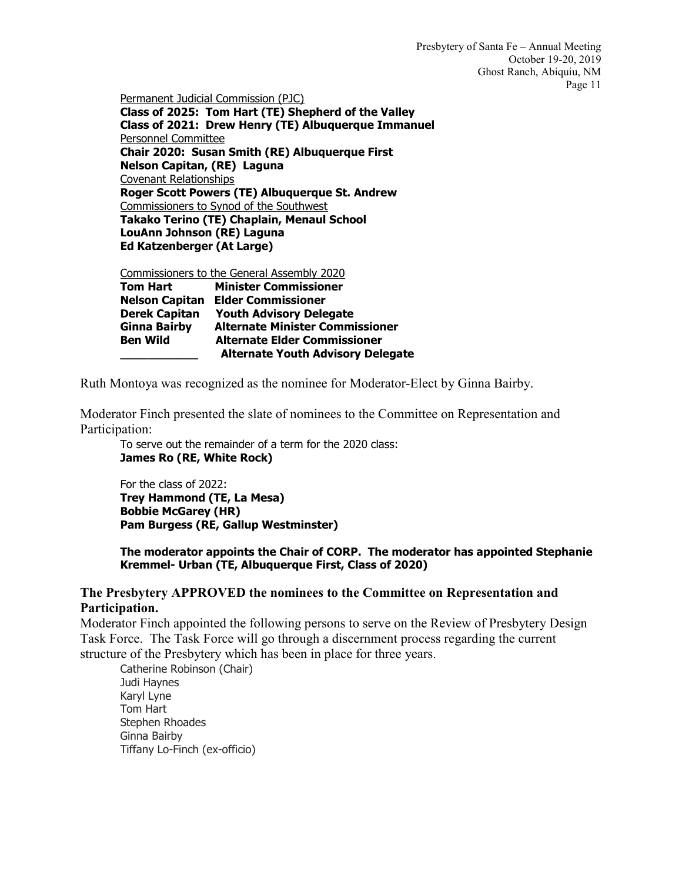Permanent Judicial Commission (PJC)

**Class of 2025: Tom Hart (TE) Shepherd of the Valley Class of 2021: Drew Henry (TE) Albuquerque Immanuel** Personnel Committee **Chair 2020: Susan Smith (RE) Albuquerque First Nelson Capitan, (RE) Laguna** Covenant Relationships **Roger Scott Powers (TE) Albuquerque St. Andrew** Commissioners to Synod of the Southwest **Takako Terino (TE) Chaplain, Menaul School LouAnn Johnson (RE) Laguna Ed Katzenberger (At Large)**

Commissioners to the General Assembly 2020 **Tom Hart Minister Commissioner Nelson Capitan Elder Commissioner Derek Capitan Youth Advisory Delegate Ginna Bairby Alternate Minister Commissioner Alternate Elder Commissioner \_\_\_\_\_\_\_\_\_\_\_ Alternate Youth Advisory Delegate**

Ruth Montoya was recognized as the nominee for Moderator-Elect by Ginna Bairby.

Moderator Finch presented the slate of nominees to the Committee on Representation and Participation:

To serve out the remainder of a term for the 2020 class: **James Ro (RE, White Rock)**

For the class of 2022: **Trey Hammond (TE, La Mesa) Bobbie McGarey (HR) Pam Burgess (RE, Gallup Westminster)**

**The moderator appoints the Chair of CORP. The moderator has appointed Stephanie Kremmel- Urban (TE, Albuquerque First, Class of 2020)** 

## **The Presbytery APPROVED the nominees to the Committee on Representation and Participation.**

Moderator Finch appointed the following persons to serve on the Review of Presbytery Design Task Force. The Task Force will go through a discernment process regarding the current structure of the Presbytery which has been in place for three years.

Catherine Robinson (Chair) Judi Haynes Karyl Lyne Tom Hart Stephen Rhoades Ginna Bairby Tiffany Lo-Finch (ex-officio)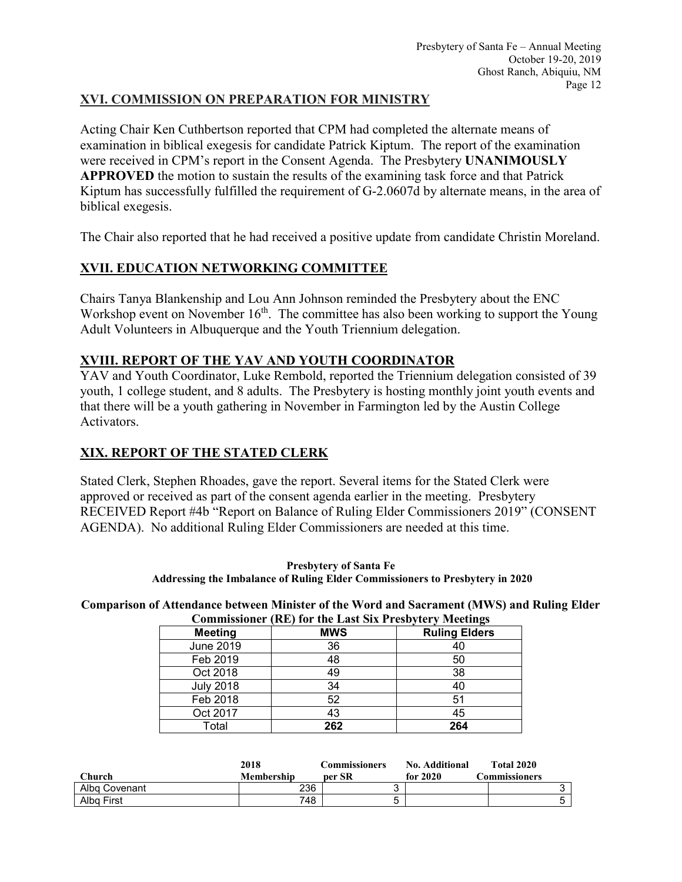# **XVI. COMMISSION ON PREPARATION FOR MINISTRY**

Acting Chair Ken Cuthbertson reported that CPM had completed the alternate means of examination in biblical exegesis for candidate Patrick Kiptum. The report of the examination were received in CPM's report in the Consent Agenda. The Presbytery **UNANIMOUSLY APPROVED** the motion to sustain the results of the examining task force and that Patrick Kiptum has successfully fulfilled the requirement of G-2.0607d by alternate means, in the area of biblical exegesis.

The Chair also reported that he had received a positive update from candidate Christin Moreland.

# **XVII. EDUCATION NETWORKING COMMITTEE**

Chairs Tanya Blankenship and Lou Ann Johnson reminded the Presbytery about the ENC Workshop event on November  $16<sup>th</sup>$ . The committee has also been working to support the Young Adult Volunteers in Albuquerque and the Youth Triennium delegation.

# **XVIII. REPORT OF THE YAV AND YOUTH COORDINATOR**

YAV and Youth Coordinator, Luke Rembold, reported the Triennium delegation consisted of 39 youth, 1 college student, and 8 adults. The Presbytery is hosting monthly joint youth events and that there will be a youth gathering in November in Farmington led by the Austin College Activators.

# **XIX. REPORT OF THE STATED CLERK**

Stated Clerk, Stephen Rhoades, gave the report. Several items for the Stated Clerk were approved or received as part of the consent agenda earlier in the meeting. Presbytery RECEIVED Report #4b "Report on Balance of Ruling Elder Commissioners 2019" (CONSENT AGENDA). No additional Ruling Elder Commissioners are needed at this time.

**Presbytery of Santa Fe Addressing the Imbalance of Ruling Elder Commissioners to Presbytery in 2020**

**Comparison of Attendance between Minister of the Word and Sacrament (MWS) and Ruling Elder Commissioner (RE) for the Last Six Presbytery Meetings**

|                  | Commissioner (KE) for the Last SIX Presbytery Meetings |                      |
|------------------|--------------------------------------------------------|----------------------|
| <b>Meeting</b>   | <b>MWS</b>                                             | <b>Ruling Elders</b> |
| <b>June 2019</b> | 36                                                     | 40                   |
| Feb 2019         | 48                                                     | 50                   |
| Oct 2018         | 49                                                     | 38                   |
| <b>July 2018</b> | 34                                                     | 40                   |
| Feb 2018         | 52                                                     | 51                   |
| Oct 2017         | 43                                                     | 45                   |
| Total            | 262                                                    | 264                  |

|               | 2018       | Commissioners | No. Additional | <b>Total 2020</b> |  |
|---------------|------------|---------------|----------------|-------------------|--|
| Church        | Membership | per SR        | for $2020$     | Commissioners     |  |
| Alba Covenant | 236        |               |                |                   |  |
| Alba First    | 748        | ∽<br>J        |                |                   |  |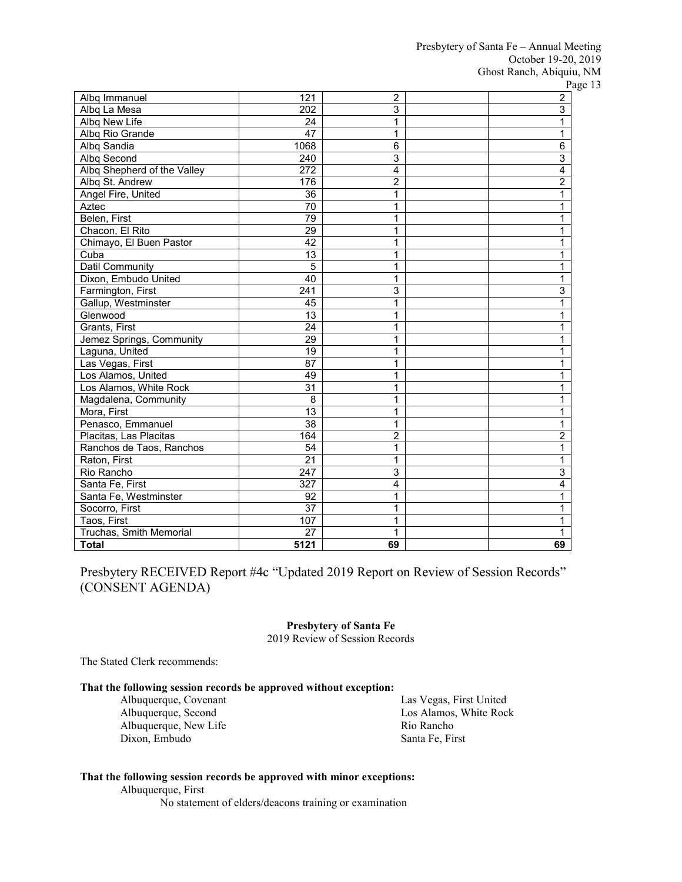| Albq Immanuel               | 121              | 2              | <b>1</b> C<br>$\overline{2}$ |
|-----------------------------|------------------|----------------|------------------------------|
| Albq La Mesa                | 202              | 3              | 3                            |
| Albq New Life               | 24               | 1              | 1                            |
| Albq Rio Grande             | 47               | 1              | 1                            |
| Albq Sandia                 | 1068             | 6              | $\overline{6}$               |
| Albq Second                 | 240              | 3              | $\overline{3}$               |
| Albq Shepherd of the Valley | 272              | 4              | 4                            |
| Albq St. Andrew             | 176              | 2              | $\overline{2}$               |
| Angel Fire, United          | 36               | 1              | 1                            |
| Aztec                       | 70               | 1              | 1                            |
| Belen, First                | 79               | 1              | 1                            |
| Chacon, El Rito             | 29               | 1              | 1                            |
| Chimayo, El Buen Pastor     | $\overline{42}$  | 1              | 1                            |
| Cuba                        | 13               | 1              | 1                            |
| <b>Datil Community</b>      | 5                | 1              | 1                            |
| Dixon, Embudo United        | $\overline{40}$  | 1              | 1                            |
| Farmington, First           | $\overline{241}$ | 3              | 3                            |
| Gallup, Westminster         | 45               | $\overline{1}$ | 1                            |
| Glenwood                    | 13               | 1              | 1                            |
| Grants, First               | $\overline{24}$  | 1              | 1                            |
| Jemez Springs, Community    | $\overline{29}$  | 1              | 1                            |
| Laguna, United              | $\overline{19}$  | 1              | 1                            |
| Las Vegas, First            | 87               | 1              | 1                            |
| Los Alamos, United          | 49               | 1              | 1                            |
| Los Alamos, White Rock      | 31               | 1              | 1                            |
| Magdalena, Community        | 8                | 1              | 1                            |
| Mora, First                 | 13               | 1              | 1                            |
| Penasco, Emmanuel           | 38               | 1              | 1                            |
| Placitas, Las Placitas      | 164              | $\overline{2}$ | $\overline{c}$               |
| Ranchos de Taos, Ranchos    | 54               | 1              | 1                            |
| Raton, First                | $\overline{21}$  | 1              | 1                            |
| Rio Rancho                  | 247              | 3              | 3                            |
| Santa Fe, First             | 327              | $\overline{4}$ | 4                            |
| Santa Fe, Westminster       | 92               | 1              | 1                            |
| Socorro, First              | $\overline{37}$  | 1              | 1                            |
| Taos, First                 | 107              | 1              |                              |
| Truchas, Smith Memorial     | $\overline{27}$  | 1              |                              |
| <b>Total</b>                | 5121             | 69             | 69                           |

Presbytery RECEIVED Report #4c "Updated 2019 Report on Review of Session Records" (CONSENT AGENDA)

#### **Presbytery of Santa Fe**

2019 Review of Session Records

The Stated Clerk recommends:

### **That the following session records be approved without exception:**

Albuquerque, Covenant Albuquerque, Second Albuquerque, New Life Dixon, Embudo

Las Vegas, First United Los Alamos, White Rock Rio Rancho Santa Fe, First

#### **That the following session records be approved with minor exceptions:**

Albuquerque, First

No statement of elders/deacons training or examination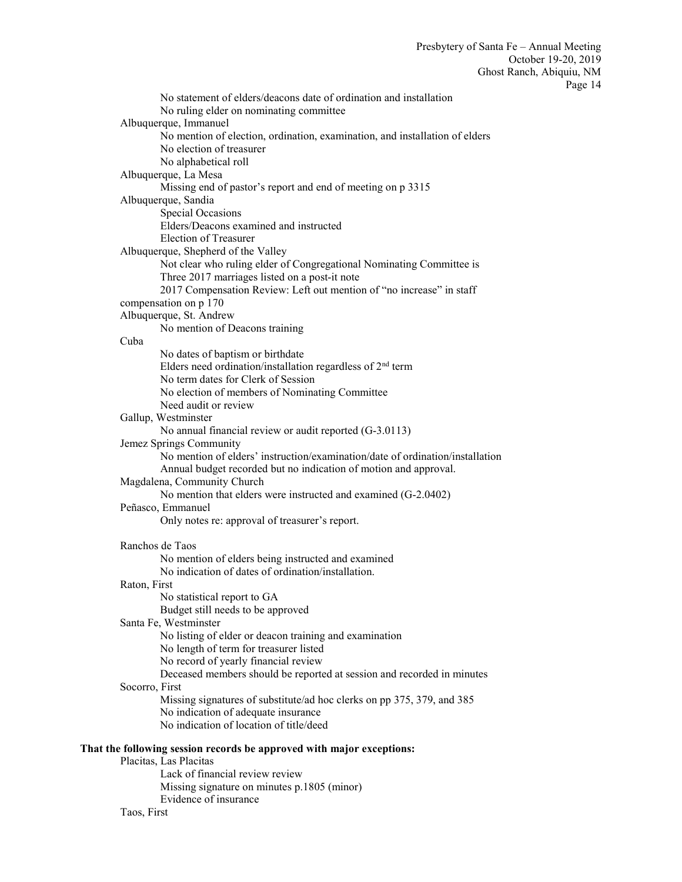No statement of elders/deacons date of ordination and installation No ruling elder on nominating committee Albuquerque, Immanuel No mention of election, ordination, examination, and installation of elders No election of treasurer No alphabetical roll Albuquerque, La Mesa Missing end of pastor's report and end of meeting on p 3315 Albuquerque, Sandia Special Occasions Elders/Deacons examined and instructed Election of Treasurer Albuquerque, Shepherd of the Valley Not clear who ruling elder of Congregational Nominating Committee is Three 2017 marriages listed on a post-it note 2017 Compensation Review: Left out mention of "no increase" in staff compensation on p 170 Albuquerque, St. Andrew No mention of Deacons training Cuba No dates of baptism or birthdate Elders need ordination/installation regardless of  $2<sup>nd</sup>$  term No term dates for Clerk of Session No election of members of Nominating Committee Need audit or review Gallup, Westminster No annual financial review or audit reported (G-3.0113) Jemez Springs Community No mention of elders' instruction/examination/date of ordination/installation Annual budget recorded but no indication of motion and approval. Magdalena, Community Church No mention that elders were instructed and examined (G-2.0402) Peñasco, Emmanuel Only notes re: approval of treasurer's report. Ranchos de Taos No mention of elders being instructed and examined No indication of dates of ordination/installation. Raton, First No statistical report to GA Budget still needs to be approved Santa Fe, Westminster No listing of elder or deacon training and examination No length of term for treasurer listed No record of yearly financial review Deceased members should be reported at session and recorded in minutes Socorro, First Missing signatures of substitute/ad hoc clerks on pp 375, 379, and 385 No indication of adequate insurance No indication of location of title/deed **That the following session records be approved with major exceptions:**

# Placitas, Las Placitas

Lack of financial review review Missing signature on minutes p.1805 (minor) Evidence of insurance Taos, First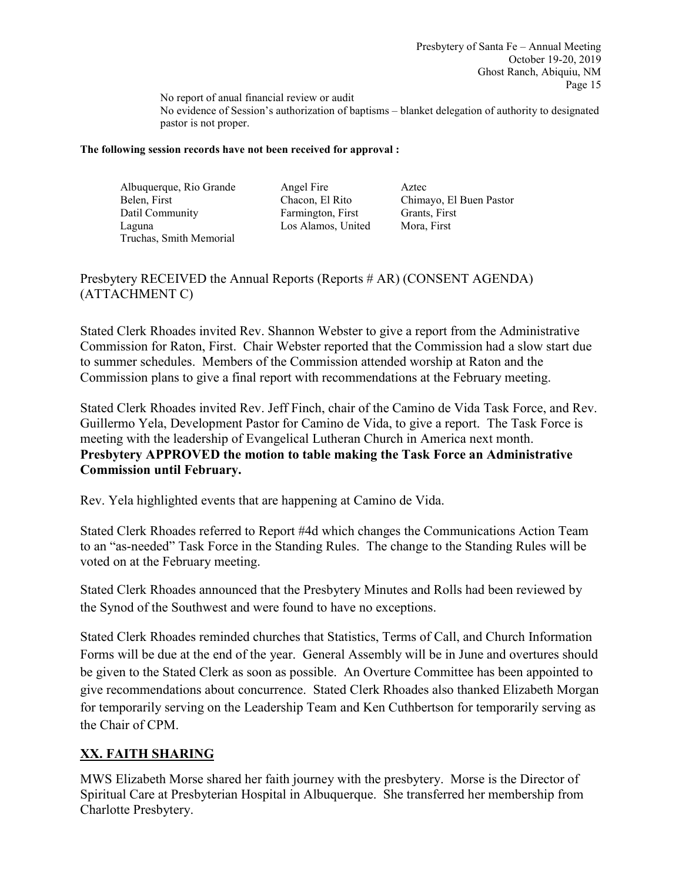No report of anual financial review or audit No evidence of Session's authorization of baptisms – blanket delegation of authority to designated pastor is not proper.

### **The following session records have not been received for approval :**

Albuquerque, Rio Grande Angel Fire Aztec Belen, First Chacon, El Rito Chimayo, El Buen Pastor Datil Community Farmington, First Grants, First Laguna Los Alamos, United Mora, First Truchas, Smith Memorial

Presbytery RECEIVED the Annual Reports (Reports # AR) (CONSENT AGENDA) (ATTACHMENT C)

Stated Clerk Rhoades invited Rev. Shannon Webster to give a report from the Administrative Commission for Raton, First. Chair Webster reported that the Commission had a slow start due to summer schedules. Members of the Commission attended worship at Raton and the Commission plans to give a final report with recommendations at the February meeting.

Stated Clerk Rhoades invited Rev. Jeff Finch, chair of the Camino de Vida Task Force, and Rev. Guillermo Yela, Development Pastor for Camino de Vida, to give a report. The Task Force is meeting with the leadership of Evangelical Lutheran Church in America next month. **Presbytery APPROVED the motion to table making the Task Force an Administrative Commission until February.**

Rev. Yela highlighted events that are happening at Camino de Vida.

Stated Clerk Rhoades referred to Report #4d which changes the Communications Action Team to an "as-needed" Task Force in the Standing Rules. The change to the Standing Rules will be voted on at the February meeting.

Stated Clerk Rhoades announced that the Presbytery Minutes and Rolls had been reviewed by the Synod of the Southwest and were found to have no exceptions.

Stated Clerk Rhoades reminded churches that Statistics, Terms of Call, and Church Information Forms will be due at the end of the year. General Assembly will be in June and overtures should be given to the Stated Clerk as soon as possible. An Overture Committee has been appointed to give recommendations about concurrence. Stated Clerk Rhoades also thanked Elizabeth Morgan for temporarily serving on the Leadership Team and Ken Cuthbertson for temporarily serving as the Chair of CPM.

# **XX. FAITH SHARING**

MWS Elizabeth Morse shared her faith journey with the presbytery. Morse is the Director of Spiritual Care at Presbyterian Hospital in Albuquerque. She transferred her membership from Charlotte Presbytery.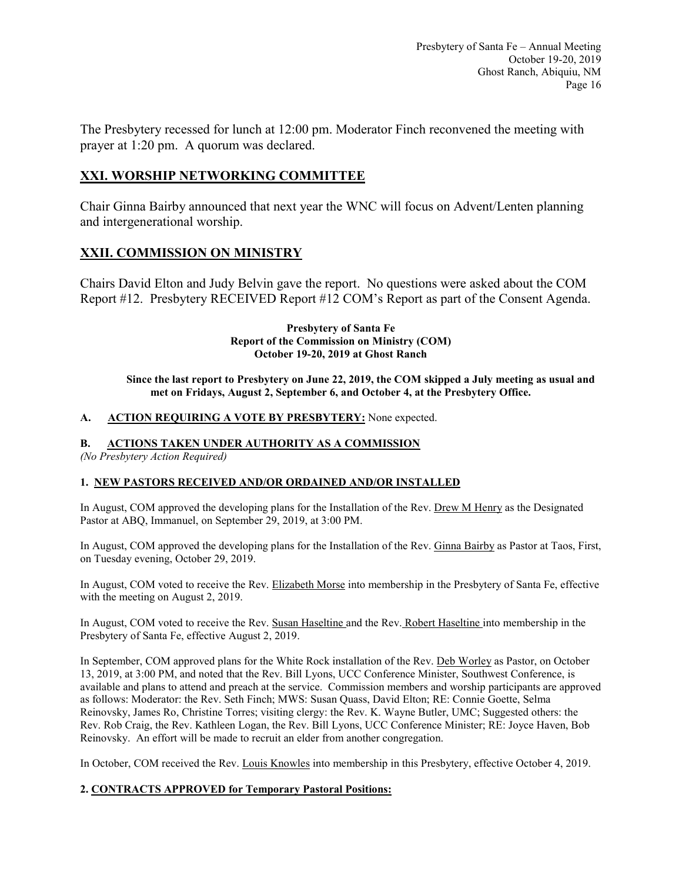The Presbytery recessed for lunch at 12:00 pm. Moderator Finch reconvened the meeting with prayer at 1:20 pm. A quorum was declared.

# **XXI. WORSHIP NETWORKING COMMITTEE**

Chair Ginna Bairby announced that next year the WNC will focus on Advent/Lenten planning and intergenerational worship.

# **XXII. COMMISSION ON MINISTRY**

Chairs David Elton and Judy Belvin gave the report. No questions were asked about the COM Report #12. Presbytery RECEIVED Report #12 COM's Report as part of the Consent Agenda.

#### **Presbytery of Santa Fe Report of the Commission on Ministry (COM) October 19-20, 2019 at Ghost Ranch**

**Since the last report to Presbytery on June 22, 2019, the COM skipped a July meeting as usual and met on Fridays, August 2, September 6, and October 4, at the Presbytery Office.**

## **A. ACTION REQUIRING A VOTE BY PRESBYTERY:** None expected.

## **B. ACTIONS TAKEN UNDER AUTHORITY AS A COMMISSION**

*(No Presbytery Action Required)*

## **1. NEW PASTORS RECEIVED AND/OR ORDAINED AND/OR INSTALLED**

In August, COM approved the developing plans for the Installation of the Rev. Drew M Henry as the Designated Pastor at ABQ, Immanuel, on September 29, 2019, at 3:00 PM.

In August, COM approved the developing plans for the Installation of the Rev. Ginna Bairby as Pastor at Taos, First, on Tuesday evening, October 29, 2019.

In August, COM voted to receive the Rev. Elizabeth Morse into membership in the Presbytery of Santa Fe, effective with the meeting on August 2, 2019.

In August, COM voted to receive the Rev. Susan Haseltine and the Rev. Robert Haseltine into membership in the Presbytery of Santa Fe, effective August 2, 2019.

In September, COM approved plans for the White Rock installation of the Rev. Deb Worley as Pastor, on October 13, 2019, at 3:00 PM, and noted that the Rev. Bill Lyons, UCC Conference Minister, Southwest Conference, is available and plans to attend and preach at the service. Commission members and worship participants are approved as follows: Moderator: the Rev. Seth Finch; MWS: Susan Quass, David Elton; RE: Connie Goette, Selma Reinovsky, James Ro, Christine Torres; visiting clergy: the Rev. K. Wayne Butler, UMC; Suggested others: the Rev. Rob Craig, the Rev. Kathleen Logan, the Rev. Bill Lyons, UCC Conference Minister; RE: Joyce Haven, Bob Reinovsky. An effort will be made to recruit an elder from another congregation.

In October, COM received the Rev. Louis Knowles into membership in this Presbytery, effective October 4, 2019.

## **2. CONTRACTS APPROVED for Temporary Pastoral Positions:**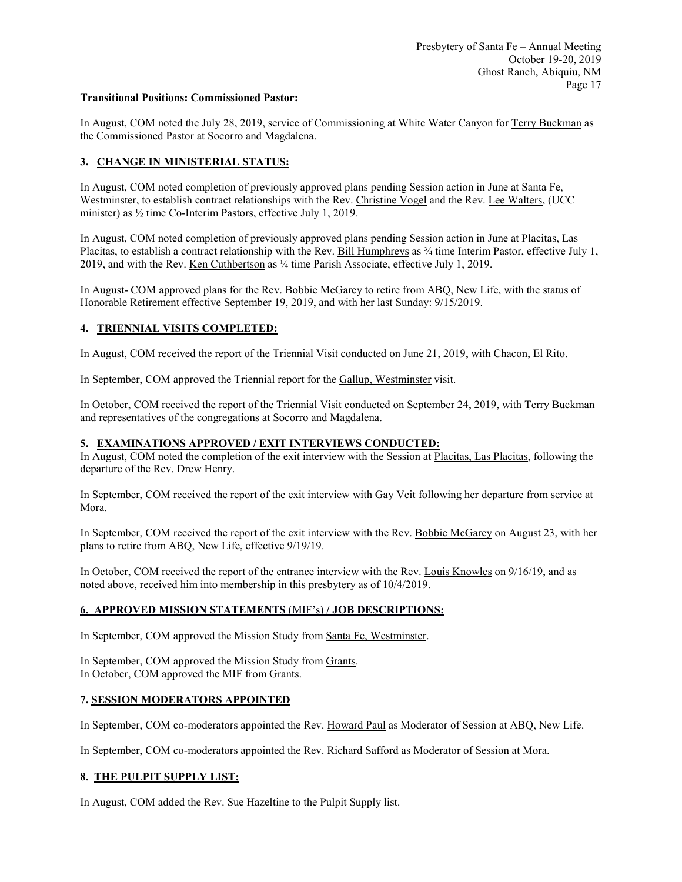#### **Transitional Positions: Commissioned Pastor:**

In August, COM noted the July 28, 2019, service of Commissioning at White Water Canyon for Terry Buckman as the Commissioned Pastor at Socorro and Magdalena.

### **3. CHANGE IN MINISTERIAL STATUS:**

In August, COM noted completion of previously approved plans pending Session action in June at Santa Fe, Westminster, to establish contract relationships with the Rev. Christine Vogel and the Rev. Lee Walters, (UCC minister) as ½ time Co-Interim Pastors, effective July 1, 2019.

In August, COM noted completion of previously approved plans pending Session action in June at Placitas, Las Placitas, to establish a contract relationship with the Rev. Bill Humphreys as ¼ time Interim Pastor, effective July 1, 2019, and with the Rev. Ken Cuthbertson as ¼ time Parish Associate, effective July 1, 2019.

In August- COM approved plans for the Rev. Bobbie McGarey to retire from ABQ, New Life, with the status of Honorable Retirement effective September 19, 2019, and with her last Sunday: 9/15/2019.

#### **4. TRIENNIAL VISITS COMPLETED:**

In August, COM received the report of the Triennial Visit conducted on June 21, 2019, with Chacon, El Rito.

In September, COM approved the Triennial report for the Gallup, Westminster visit.

In October, COM received the report of the Triennial Visit conducted on September 24, 2019, with Terry Buckman and representatives of the congregations at Socorro and Magdalena.

#### **5. EXAMINATIONS APPROVED / EXIT INTERVIEWS CONDUCTED:**

In August, COM noted the completion of the exit interview with the Session at Placitas, Las Placitas, following the departure of the Rev. Drew Henry.

In September, COM received the report of the exit interview with Gay Veit following her departure from service at Mora.

In September, COM received the report of the exit interview with the Rev. Bobbie McGarey on August 23, with her plans to retire from ABQ, New Life, effective 9/19/19.

In October, COM received the report of the entrance interview with the Rev. Louis Knowles on 9/16/19, and as noted above, received him into membership in this presbytery as of 10/4/2019.

#### **6. APPROVED MISSION STATEMENTS** (MIF's) **/ JOB DESCRIPTIONS:**

In September, COM approved the Mission Study from Santa Fe, Westminster.

In September, COM approved the Mission Study from Grants. In October, COM approved the MIF from Grants.

#### **7. SESSION MODERATORS APPOINTED**

In September, COM co-moderators appointed the Rev. Howard Paul as Moderator of Session at ABQ, New Life.

In September, COM co-moderators appointed the Rev. Richard Safford as Moderator of Session at Mora.

#### **8. THE PULPIT SUPPLY LIST:**

In August, COM added the Rev. Sue Hazeltine to the Pulpit Supply list.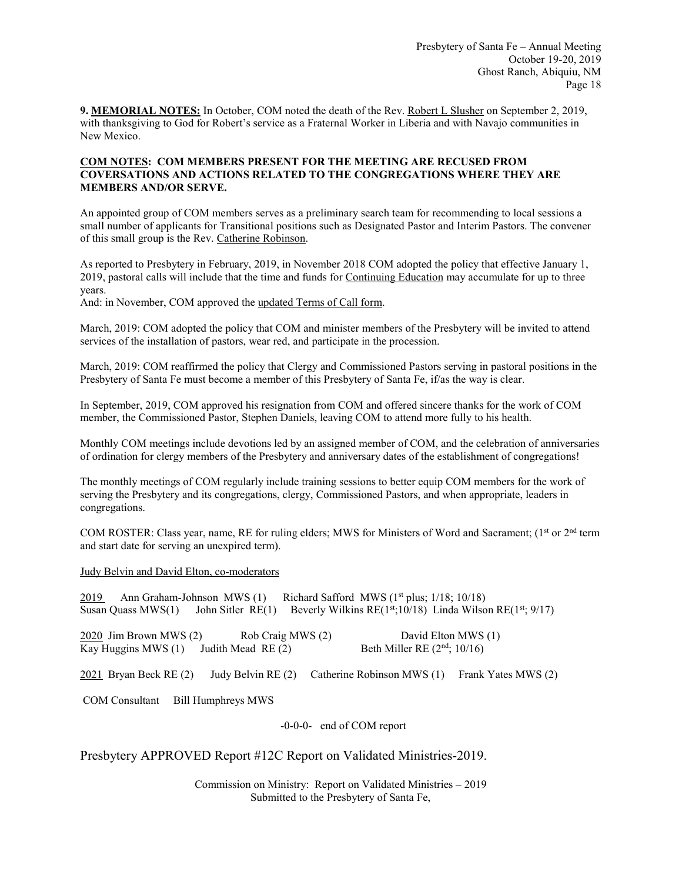**9. MEMORIAL NOTES:** In October, COM noted the death of the Rev. Robert L Slusher on September 2, 2019, with thanksgiving to God for Robert's service as a Fraternal Worker in Liberia and with Navajo communities in New Mexico.

### **COM NOTES: COM MEMBERS PRESENT FOR THE MEETING ARE RECUSED FROM COVERSATIONS AND ACTIONS RELATED TO THE CONGREGATIONS WHERE THEY ARE MEMBERS AND/OR SERVE.**

An appointed group of COM members serves as a preliminary search team for recommending to local sessions a small number of applicants for Transitional positions such as Designated Pastor and Interim Pastors. The convener of this small group is the Rev. Catherine Robinson.

As reported to Presbytery in February, 2019, in November 2018 COM adopted the policy that effective January 1, 2019, pastoral calls will include that the time and funds for Continuing Education may accumulate for up to three years.

And: in November, COM approved the updated Terms of Call form.

March, 2019: COM adopted the policy that COM and minister members of the Presbytery will be invited to attend services of the installation of pastors, wear red, and participate in the procession.

March, 2019: COM reaffirmed the policy that Clergy and Commissioned Pastors serving in pastoral positions in the Presbytery of Santa Fe must become a member of this Presbytery of Santa Fe, if/as the way is clear.

In September, 2019, COM approved his resignation from COM and offered sincere thanks for the work of COM member, the Commissioned Pastor, Stephen Daniels, leaving COM to attend more fully to his health.

Monthly COM meetings include devotions led by an assigned member of COM, and the celebration of anniversaries of ordination for clergy members of the Presbytery and anniversary dates of the establishment of congregations!

The monthly meetings of COM regularly include training sessions to better equip COM members for the work of serving the Presbytery and its congregations, clergy, Commissioned Pastors, and when appropriate, leaders in congregations.

COM ROSTER: Class year, name, RE for ruling elders; MWS for Ministers of Word and Sacrament; (1st or 2<sup>nd</sup> term and start date for serving an unexpired term).

Judy Belvin and David Elton, co-moderators

2019 Ann Graham-Johnson MWS  $(1)$  Richard Safford MWS  $(1<sup>st</sup>$  plus;  $1/18$ ;  $10/18$ ) Susan Quass MWS(1) John Sitler RE(1) Beverly Wilkins RE( $1^{st}$ ;10/18) Linda Wilson RE( $1^{st}$ ; 9/17) 2020 Jim Brown MWS (2) Rob Craig MWS (2) David Elton MWS (1) Kay Huggins MWS (1) Judith Mead RE (2) Beth Miller RE  $(2<sup>nd</sup>; 10/16)$ 2021 Bryan Beck RE (2) Judy Belvin RE (2) Catherine Robinson MWS (1) Frank Yates MWS (2) COM Consultant Bill Humphreys MWS -0-0-0- end of COM report

Presbytery APPROVED Report #12C Report on Validated Ministries-2019.

Commission on Ministry: Report on Validated Ministries – 2019 Submitted to the Presbytery of Santa Fe,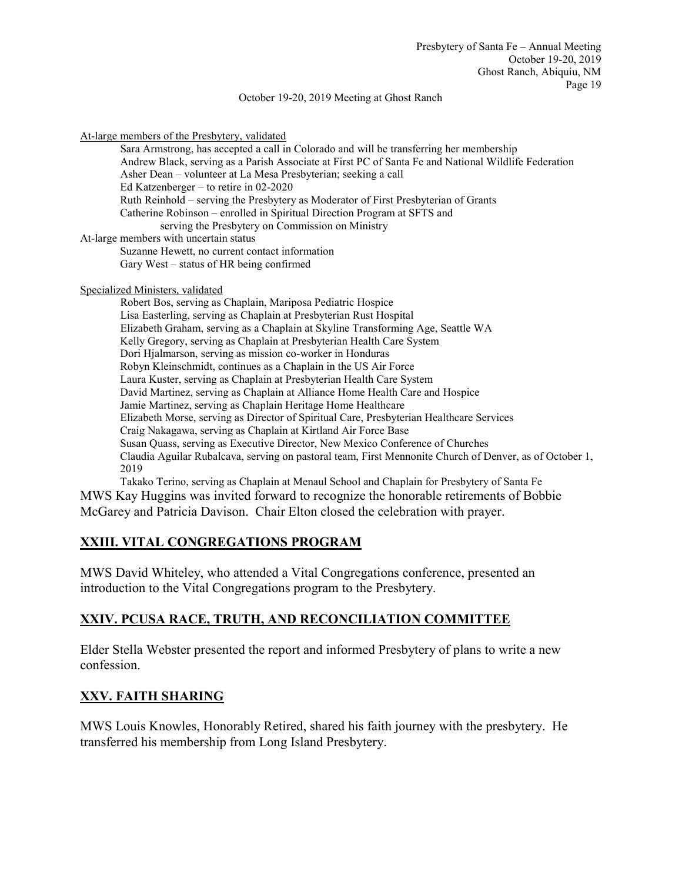#### October 19-20, 2019 Meeting at Ghost Ranch

At-large members of the Presbytery, validated

Sara Armstrong, has accepted a call in Colorado and will be transferring her membership Andrew Black, serving as a Parish Associate at First PC of Santa Fe and National Wildlife Federation Asher Dean – volunteer at La Mesa Presbyterian; seeking a call Ed Katzenberger – to retire in 02-2020 Ruth Reinhold – serving the Presbytery as Moderator of First Presbyterian of Grants Catherine Robinson – enrolled in Spiritual Direction Program at SFTS and serving the Presbytery on Commission on Ministry At-large members with uncertain status Suzanne Hewett, no current contact information Gary West – status of HR being confirmed

Specialized Ministers, validated

Robert Bos, serving as Chaplain, Mariposa Pediatric Hospice Lisa Easterling, serving as Chaplain at Presbyterian Rust Hospital Elizabeth Graham, serving as a Chaplain at Skyline Transforming Age, Seattle WA Kelly Gregory, serving as Chaplain at Presbyterian Health Care System Dori Hjalmarson, serving as mission co-worker in Honduras Robyn Kleinschmidt, continues as a Chaplain in the US Air Force Laura Kuster, serving as Chaplain at Presbyterian Health Care System David Martinez, serving as Chaplain at Alliance Home Health Care and Hospice Jamie Martinez, serving as Chaplain Heritage Home Healthcare Elizabeth Morse, serving as Director of Spiritual Care, Presbyterian Healthcare Services Craig Nakagawa, serving as Chaplain at Kirtland Air Force Base Susan Quass, serving as Executive Director, New Mexico Conference of Churches Claudia Aguilar Rubalcava, serving on pastoral team, First Mennonite Church of Denver, as of October 1, 2019

Takako Terino, serving as Chaplain at Menaul School and Chaplain for Presbytery of Santa Fe MWS Kay Huggins was invited forward to recognize the honorable retirements of Bobbie McGarey and Patricia Davison. Chair Elton closed the celebration with prayer.

# **XXIII. VITAL CONGREGATIONS PROGRAM**

MWS David Whiteley, who attended a Vital Congregations conference, presented an introduction to the Vital Congregations program to the Presbytery.

## **XXIV. PCUSA RACE, TRUTH, AND RECONCILIATION COMMITTEE**

Elder Stella Webster presented the report and informed Presbytery of plans to write a new confession.

## **XXV. FAITH SHARING**

MWS Louis Knowles, Honorably Retired, shared his faith journey with the presbytery. He transferred his membership from Long Island Presbytery.